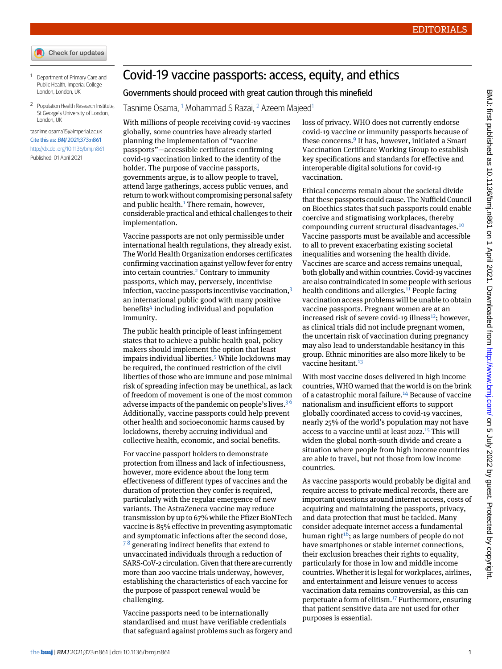- Check for updates
- <span id="page-0-1"></span><span id="page-0-0"></span><sup>1</sup> Department of Primary Care and Public Health, Imperial College London, London, UK
- <sup>2</sup> Population Health Research Institute, St George's University of London, London, UK

[tasnime.osama15@imperial.ac.uk](mailto:tasnime.osama15@imperial.ac.uk) Cite this as: BMJ 2021;373:n861 <http://dx.doi.org/10.1136/bmj.n861> Published: 01 April 2021

## Covid-19 vaccine passports: access, equity, and ethics

## Governments should proceed with great caution through this minefield

Tasnime Osama, <sup>[1](#page-0-0)</sup> Mohammad S Razai, <sup>[2](#page-0-1)</sup> Azeem Majeed<sup>1</sup>

With millions of people receiving covid-19 vaccines globally, some countries have already started planning the implementation of "vaccine passports"—accessible certificates confirming covid-19 vaccination linked to the identity of the holder. The purpose of vaccine passports, governments argue, is to allow people to travel, attend large gatherings, access public venues, and return to work without compromising personal safety and public health. $<sup>1</sup>$  $<sup>1</sup>$  $<sup>1</sup>$  There remain, however,</sup> considerable practical and ethical challenges to their implementation.

Vaccine passports are not only permissible under international health regulations, they already exist. The World Health Organization endorses certificates confirming vaccination against yellow fever for entry into certain countries.<sup>[2](#page-1-1)</sup> Contrary to immunity passports, which may, perversely, incentivise infection, vaccine passports incentivise vaccination,<sup>[3](#page-1-2)</sup> an international public good with many positive benefits<sup>[4](#page-1-3)</sup> including individual and population immunity.

The public health principle of least infringement states that to achieve a public health goal, policy makers should implement the option that least impairs individual liberties.<sup>[5](#page-1-4)</sup> While lockdowns may be required, the continued restriction of the civil liberties of those who are immune and pose minimal risk of spreading infection may be unethical, as lack of freedom of movement is one of the most common adverse impacts of the pandemic on people's lives.<sup>[3](#page-1-2)6</sup> Additionally, vaccine passports could help prevent other health and socioeconomic harms caused by lockdowns, thereby accruing individual and collective health, economic, and social benefits.

For vaccine passport holders to demonstrate protection from illness and lack of infectiousness, however, more evidence about the long term effectiveness of different types of vaccines and the duration of protection they confer is required, particularly with the regular emergence of new variants. The AstraZeneca vaccine may reduce transmission by up to 67% while the Pfizer BioNTech vaccine is 85% effective in preventing asymptomatic and symptomatic infections after the second dose,  $7<sup>8</sup>$  $7<sup>8</sup>$  generating indirect benefits that extend to unvaccinated individuals through a reduction of SARS-CoV-2 circulation. Given that there are currently more than 200 vaccine trials underway, however, establishing the characteristics of each vaccine for the purpose of passport renewal would be challenging.

Vaccine passports need to be internationally standardised and must have verifiable credentials that safeguard against problems such as forgery and

loss of privacy. WHO does not currently endorse covid-19 vaccine or immunity passports because of these concerns.<sup>[9](#page-1-8)</sup> It has, however, initiated a Smart Vaccination Certificate Working Group to establish key specifications and standards for effective and interoperable digital solutions for covid-19 vaccination.

Ethical concerns remain about the societal divide that these passports could cause. The Nuffield Council on Bioethics states that such passports could enable coercive and stigmatising workplaces, thereby compounding current structural disadvantages.[10](#page-1-9) Vaccine passports must be available and accessible to all to prevent exacerbating existing societal inequalities and worsening the health divide. Vaccines are scarce and access remains unequal, both globally and within countries. Covid-19 vaccines are also contraindicated in some people with serious health conditions and allergies. $11$  People facing vaccination access problems will be unable to obtain vaccine passports. Pregnant women are at an increased risk of severe covid-19 illness $^{12}$  $^{12}$  $^{12}$ ; however, as clinical trials did not include pregnant women, the uncertain risk of vaccination during pregnancy may also lead to understandable hesitancy in this group. Ethnic minorities are also more likely to be vaccine hesitant.<sup>[13](#page-1-12)</sup>

With most vaccine doses delivered in high income countries, WHO warned that the world is on the brink of a catastrophic moral failure.<sup>[14](#page-1-13)</sup> Because of vaccine nationalism and insufficient efforts to support globally coordinated access to covid-19 vaccines, nearly 25% of the world's population may not have access to a vaccine until at least  $2022.<sup>15</sup>$  $2022.<sup>15</sup>$  $2022.<sup>15</sup>$  This will widen the global north-south divide and create a situation where people from high income countries are able to travel, but not those from low income countries.

As vaccine passports would probably be digital and require access to private medical records, there are important questions around internet access, costs of acquiring and maintaining the passports, privacy, and data protection that must be tackled. Many consider adequate internet access a fundamental human right $16$ ; as large numbers of people do not have smartphones or stable internet connections, their exclusion breaches their rights to equality, particularly for those in low and middle income countries. Whether it is legal for workplaces, airlines, and entertainment and leisure venues to access vaccination data remains controversial, as this can perpetuate a form of elitism.[17](#page-1-16) Furthermore, ensuring that patient sensitive data are not used for other purposes is essential.